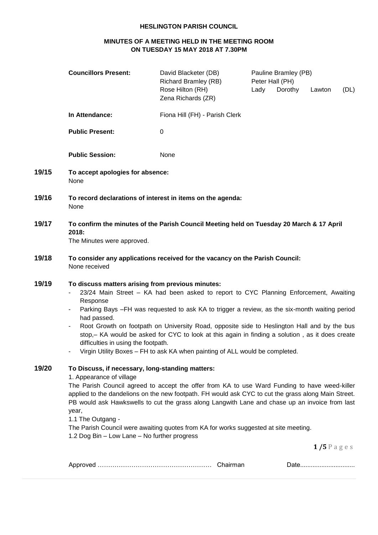## **HESLINGTON PARISH COUNCIL**

# **MINUTES OF A MEETING HELD IN THE MEETING ROOM ON TUESDAY 15 MAY 2018 AT 7.30PM**

|       | <b>Councillors Present:</b>                                                                                                                                                                                                                                                                                                                                                                                                                                                                                                                                                                      | David Blacketer (DB)<br><b>Richard Bramley (RB)</b><br>Rose Hilton (RH)<br>Zena Richards (ZR)                                                                                                                                                                                                                                                                                                  | Peter Hall (PH)<br>Lady | Pauline Bramley (PB)<br>Dorothy | Lawton          | (DL) |
|-------|--------------------------------------------------------------------------------------------------------------------------------------------------------------------------------------------------------------------------------------------------------------------------------------------------------------------------------------------------------------------------------------------------------------------------------------------------------------------------------------------------------------------------------------------------------------------------------------------------|------------------------------------------------------------------------------------------------------------------------------------------------------------------------------------------------------------------------------------------------------------------------------------------------------------------------------------------------------------------------------------------------|-------------------------|---------------------------------|-----------------|------|
|       | In Attendance:                                                                                                                                                                                                                                                                                                                                                                                                                                                                                                                                                                                   | Fiona Hill (FH) - Parish Clerk                                                                                                                                                                                                                                                                                                                                                                 |                         |                                 |                 |      |
|       | <b>Public Present:</b>                                                                                                                                                                                                                                                                                                                                                                                                                                                                                                                                                                           | 0                                                                                                                                                                                                                                                                                                                                                                                              |                         |                                 |                 |      |
|       | <b>Public Session:</b>                                                                                                                                                                                                                                                                                                                                                                                                                                                                                                                                                                           | None                                                                                                                                                                                                                                                                                                                                                                                           |                         |                                 |                 |      |
| 19/15 | To accept apologies for absence:<br>None                                                                                                                                                                                                                                                                                                                                                                                                                                                                                                                                                         |                                                                                                                                                                                                                                                                                                                                                                                                |                         |                                 |                 |      |
| 19/16 | To record declarations of interest in items on the agenda:<br>None                                                                                                                                                                                                                                                                                                                                                                                                                                                                                                                               |                                                                                                                                                                                                                                                                                                                                                                                                |                         |                                 |                 |      |
| 19/17 | To confirm the minutes of the Parish Council Meeting held on Tuesday 20 March & 17 April<br>2018:<br>The Minutes were approved.                                                                                                                                                                                                                                                                                                                                                                                                                                                                  |                                                                                                                                                                                                                                                                                                                                                                                                |                         |                                 |                 |      |
| 19/18 | None received                                                                                                                                                                                                                                                                                                                                                                                                                                                                                                                                                                                    | To consider any applications received for the vacancy on the Parish Council:                                                                                                                                                                                                                                                                                                                   |                         |                                 |                 |      |
| 19/19 | To discuss matters arising from previous minutes:<br>23/24 Main Street - KA had been asked to report to CYC Planning Enforcement, Awaiting<br>Response<br>Parking Bays -FH was requested to ask KA to trigger a review, as the six-month waiting period<br>had passed.<br>Root Growth on footpath on University Road, opposite side to Heslington Hall and by the bus<br>stop, - KA would be asked for CYC to look at this again in finding a solution, as it does create<br>difficulties in using the footpath.<br>Virgin Utility Boxes - FH to ask KA when painting of ALL would be completed. |                                                                                                                                                                                                                                                                                                                                                                                                |                         |                                 |                 |      |
| 19/20 | To Discuss, if necessary, long-standing matters:<br>1. Appearance of village<br>year,<br>1.1 The Outgang -<br>1.2 Dog Bin - Low Lane - No further progress                                                                                                                                                                                                                                                                                                                                                                                                                                       | The Parish Council agreed to accept the offer from KA to use Ward Funding to have weed-killer<br>applied to the dandelions on the new footpath. FH would ask CYC to cut the grass along Main Street.<br>PB would ask Hawkswells to cut the grass along Langwith Lane and chase up an invoice from last<br>The Parish Council were awaiting quotes from KA for works suggested at site meeting. |                         |                                 | $1/5$ P a g e s |      |
|       |                                                                                                                                                                                                                                                                                                                                                                                                                                                                                                                                                                                                  |                                                                                                                                                                                                                                                                                                                                                                                                |                         |                                 |                 |      |

|--|--|--|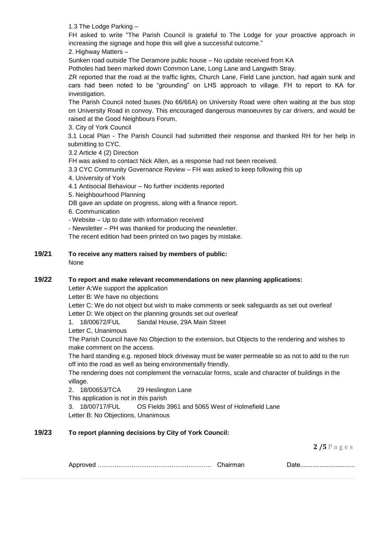1.3 The Lodge Parking –

FH asked to write "The Parish Council is grateful to The Lodge for your proactive approach in increasing the signage and hope this will give a successful outcome."

2. Highway Matters –

Sunken road outside The Deramore public house – No update received from KA

Potholes had been marked down Common Lane, Long Lane and Langwith Stray.

ZR reported that the road at the traffic lights, Church Lane, Field Lane junction, had again sunk and cars had been noted to be "grounding" on LHS approach to village. FH to report to KA for investigation.

The Parish Council noted buses (No 66/66A) on University Road were often waiting at the bus stop on University Road in convoy. This encouraged dangerous manoeuvres by car drivers, and would be raised at the Good Neighbours Forum.

3. City of York Council

3.1 Local Plan - The Parish Council had submitted their response and thanked RH for her help in submitting to CYC.

3.2 Article 4 (2) Direction

FH was asked to contact Nick Allen, as a response had not been received.

3.3 CYC Community Governance Review – FH was asked to keep following this up

4. University of York

4.1 Antisocial Behaviour – No further incidents reported

5. Neighbourhood Planning

DB gave an update on progress, along with a finance report.

6. Communication

- Website – Up to date with information received

- Newsletter – PH was thanked for producing the newsletter.

The recent edition had been printed on two pages by mistake.

**19/21 To receive any matters raised by members of public:** 

None

## **19/22 To report and make relevant recommendations on new planning applications:**

Letter A:We support the application

Letter B: We have no objections

Letter C: We do not object but wish to make comments or seek safeguards as set out overleaf Letter D: We object on the planning grounds set out overleaf

1. 18/00672/FUL Sandal House, 29A Main Street

Letter C, Unanimous

The Parish Council have No Objection to the extension, but Objects to the rendering and wishes to make comment on the access.

The hard standing e.g. reposed block driveway must be water permeable so as not to add to the run off into the road as well as being environmentally friendly.

The rendering does not complement the vernacular forms, scale and character of buildings in the village.

2. 18/00653/TCA 29 Heslington Lane

This application is not in this parish

3. 18/00717/FUL OS Fields 3961 and 5065 West of Holmefield Lane Letter B: No Objections, Unanimous

# **19/23 To report planning decisions by City of York Council:**

**2 /5** P a g e s

|--|--|--|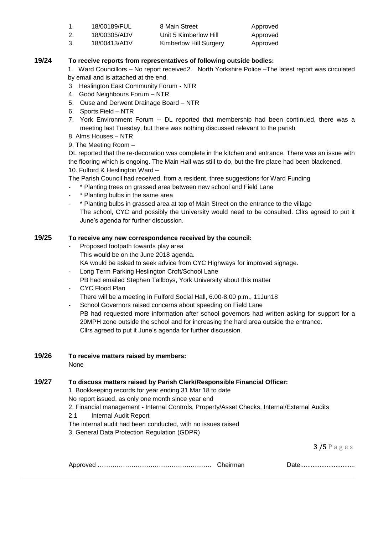|    | 18/00189/FUL | 8 Main Street          | Approved |
|----|--------------|------------------------|----------|
|    | 18/00305/ADV | Unit 5 Kimberlow Hill  | Approved |
| 3. | 18/00413/ADV | Kimberlow Hill Surgery | Approved |

## **19/24 To receive reports from representatives of following outside bodies:**

1. Ward Councillors – No report received2. North Yorkshire Police –The latest report was circulated by email and is attached at the end.

- 3 Heslington East Community Forum NTR
- 4. Good Neighbours Forum NTR
- 5. Ouse and Derwent Drainage Board NTR
- 6. Sports Field NTR
- 7. York Environment Forum -- DL reported that membership had been continued, there was a meeting last Tuesday, but there was nothing discussed relevant to the parish
- 8. Alms Houses NTR
- 9. The Meeting Room –

DL reported that the re-decoration was complete in the kitchen and entrance. There was an issue with the flooring which is ongoing. The Main Hall was still to do, but the fire place had been blackened. 10. Fulford & Heslington Ward –

The Parish Council had received, from a resident, three suggestions for Ward Funding

- \* Planting trees on grassed area between new school and Field Lane
- \* Planting bulbs in the same area
- \* Planting bulbs in grassed area at top of Main Street on the entrance to the village The school, CYC and possibly the University would need to be consulted. Cllrs agreed to put it June's agenda for further discussion.

#### **19/25 To receive any new correspondence received by the council:**

- Proposed footpath towards play area This would be on the June 2018 agenda. KA would be asked to seek advice from CYC Highways for improved signage.
- Long Term Parking Heslington Croft/School Lane PB had emailed Stephen Tallboys, York University about this matter
- CYC Flood Plan There will be a meeting in Fulford Social Hall, 6.00-8.00 p.m., 11Jun18
- School Governors raised concerns about speeding on Field Lane PB had requested more information after school governors had written asking for support for a 20MPH zone outside the school and for increasing the hard area outside the entrance. Cllrs agreed to put it June's agenda for further discussion.

# **19/26 To receive matters raised by members:**

None

## **19/27 To discuss matters raised by Parish Clerk/Responsible Financial Officer:**

1. Bookkeeping records for year ending 31 Mar 18 to date

No report issued, as only one month since year end

2. Financial management - Internal Controls, Property/Asset Checks, Internal/External Audits

- 2.1 Internal Audit Report
- The internal audit had been conducted, with no issues raised

3. General Data Protection Regulation (GDPR)

**3 /5** P a g e s

|  |  | <u>Dalv</u> |
|--|--|-------------|
|--|--|-------------|